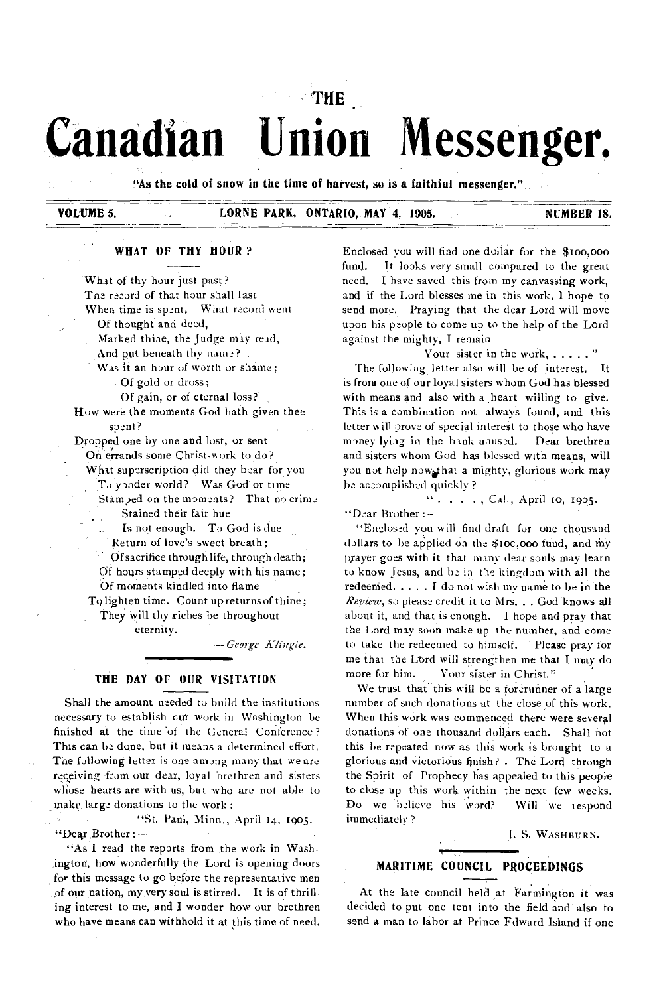# **THE Canadian Union Messenger.**

**"As the cold of snow in the time of harvest, so is a faithful messenger."** 

# **VOLUME 5. CORNE PARK, ONTARIO, MAY 4, 1905. NUMBER 18. NUMBER 18.**

# **WHAT OF THY HOUR ?**

What of thy hour just past? Toe record of that hour shall last When time is spent. What record went Of thought and deed, Marked thiae, the Judge may read, And put beneath thy name? Was it an hour of worth or shame; Of gold or dross; Of gain, or of eternal loss? How were the moments God hath given thee spent? Dropped one by one and lost, or sent On errands some Christ-work to do? What superscription did they bear for you To yonder world? Was God or time Stamped on the moments? That no crime Stained their fair hue Is not enough. To God is due Return of love's sweet breath; Of sacrifice through life, through death; Of hours stamped deeply with his name; Of moments kindled into flame Ty lighten time. Count up returns of thine; They will thy riches be throughout

eternity.

*—George Klingle.* 

#### **THE DAY OF OUR VISITATION**

Shall the amount needed to build the institutions necessary to establish cut work in Washington be finished at the time 'of the General Conference? This can be done, but it means a determined effort, The following letter is one among many that we are receiving from our dear, loyal brethren and sisters whose hearts are with us, but who are not able to make.large donations to the work :

"St. Paul, Minn., April 14, 1905. "Dear Brother :--

"As I read the reports from the work in Washington, how wonderfully the Lord is opening doors for this message to go before the representative men of our nation, my very soul is stirred. It is of thrilling interest, to me, and I wonder how our brethren who have means can withhold it at this time of need. Enclosed you will find one dollar for the \$too,000 fund. It looks very small compared to the great need. I have saved this from my canvassing work, and if the Lord blesses me in this work, 1 hope to send more. Praying that the dear Lord will move upon his people to come up to the help of the Lord against the mighty, I remain

Your sister in the work, . . . . . "

The following letter also will be of interest. It is from one of our loyal sisters whom God has blessed with means and also with a heart willing to give. This is a combination not always found, and this letter will prove of special interest to those who have money lying in the bank unused. Dear brethren and sisters whom God has blessed with means, will you not help now that a mighty, glorious work may be accomplished quickly ?

. . . . , Cal, April 10, 1905.

"Dear Brother :—

"Enclosed you will find draft for one thousand dollars to be applied on the \$10c,000 fund, and my prayer goes with it that many dear souls may learn to know Jesus, and be in Cie kingdom with all the redeemed.  $\ldots$  I do not wish my name to be in the *Review,* so please credit it to Mrs. . . God knows all about it, and that is enough. I hope and pray that the Lord may soon make up the number, and come to take the redeemed to himself. Please pray for me that the Lbrd will strengthen me that I may do more for him. Your sister in Christ."

We trust that this will be a forerunner of a large number of such donations at the close of this work. When this work was commenced there were several donations of one thousand dollars each. Shall not this be repeated now as this work is brought to a glorious and victorious finish? . The Lord through the Spirit of Prophecy has appealed to this people to close up this work within the next few weeks. Do we believe his word? Will 'we respond immediately ?

J. S. WASHBURN.

# **MARITIME COUNCIL PROCEEDINGS**

At the late council held at Farmington it was decided to put one tent into the field and also to send a man to labor at Prince Fdward Island if one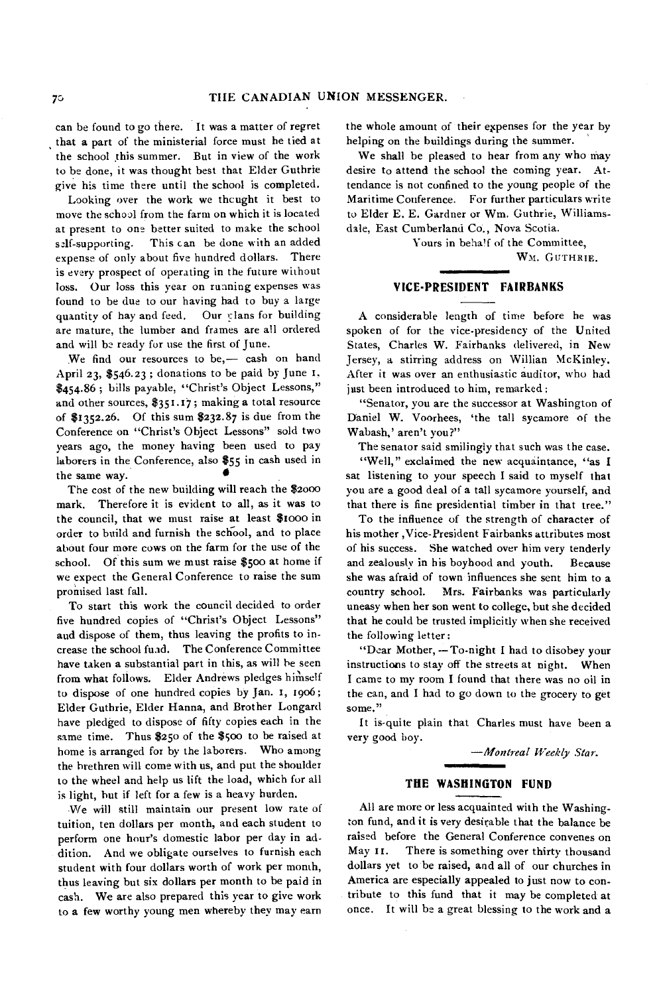can be found to go there. It was a matter of regret that a part of the ministerial force must he tied at the school this summer. But in view of the work to be done, it was thought best that Elder Guthrie give his time there until the school is completed.

Looking over the work we thcught it best to move the school from the farm on which it is located at present to one better suited to make the school self-supporting. This can be done with an added expense of only about five hundred dollars. There is every prospect of operating in the future without loss. Our loss this year on running expenses was found to be due to our having had to buy a large quantity of hay and feed. Our plans for building are mature, the lumber and frames are all ordered and will be ready for use the first of June.

We find our resources to be,— cash on hand April 23, \$546.23 ; donations to be paid by June t. \$454.86; bills payable, "Christ's Object Lessons," and other sources, \$351.17; making a total resource of \$1352.26. Of this sum \$232.87 is due from the Conference on "Christ's Object Lessons" sold two years ago, the money having been used to pay laborers in the Conference, also \$55 in cash used in the same way.

The cost of the new building will reach the \$2000 mark. Therefore it is evident to all, as it was to the council, that we must raise at least \$t000 in order to build and furnish the school, and to place about four more cows on the farm for the use of the school. Of this sum we must raise \$500 at home if we expect the General Conference to raise the sum promised last fall.

To start this work the council decided to order five hundred copies of "Christ's Object Lessons" and dispose of them, thus leaving the profits to increase the school fund. The Conference Committee have taken a substantial part in this, as will he seen from what follows. Elder Andrews pledges himself to dispose of one hundred copies by Jan. I, 1906; Elder Guthrie, Elder Hanna, and Brother Longard have pledged to dispose of fifty copies each in the same time. Thus \$250 of the \$5oo to be raised at home is arranged for by the laborers. Who among the brethren will come with us, and put the shoulder to the wheel and help us lift the load, which for all is light, hut if left for a few is a heavy burden.

We will still maintain our present low rate of tuition, ten dollars per month, and each student to perform one hour's domestic labor per day in addition. And we obligate ourselves to furnish each student with four dollars worth of work per month, thus leaving but six dollars per month to be paid in cash. We are also prepared this year to give work to a few worthy young men whereby they may earn

the whole amount of their expenses for the year by helping on the buildings during the summer.

We shall be pleased to hear from any who may desire to attend the school the coming year. Attendance is not confined to the young people of the Maritime Conference. For further particulars write to Elder E. E. Gardner or Wm. Guthrie, Williamsdale, East Cumberland Co., Nova Scotia.

Yours in beha!f of the Committee,

Wm. GUTHRIE.

#### **VICE-PRESIDENT FAIRBANKS**

A considerable length of time before he was spoken of for the vice-presidency of the United States, Charles W. Fairbanks delivered, in New Jersey, a stirring address on Willian McKinley. After it was over an enthusiastic auditor, who had just been introduced to him, remarked :

"Senator, you are the successor at Washington of Daniel W. Voorhees, 'the tall sycamore of the Wabash,' aren't you?"

The senator said smilingly that such was the case.

"Well," exclaimed the new acquaintance, "as I sat listening to your speech I said to myself that you are a good deal of a tall sycamore yourself, and that there is fine presidential timber in that tree."

To the influence of the strength of character of his mother ,Vice-President Fairbanks attributes most of his success. She watched over him very tenderly and zealously in his boyhood and youth. Because she was afraid of town influences she sent him to a country school. Mrs. Fairbanks was particularly uneasy when her son went to college, but she decided that he could be trusted implicitly when she received the following letter:

"Dear Mother, -- To-night I had to disobey your instructions to stay off the streets at night. When I came to my room I found that there was no oil in the can, and I had to go down to the grocery to get some."

It is-quite plain that Charles must have been a very good boy.

*—Montreal Weekly Star.* 

#### **THE WASHINGTON FUND**

•••••••••=11

All are more or less acquainted with the Washington fund, and it is very desirable that the balance be raised before the General Conference convenes on May 11. There is something over thirty thousand dollars yet to be raised, and all of our churches in America are especially appealed to just now to contribute to this fund that it may be completed at once. It will be a great blessing to the work and a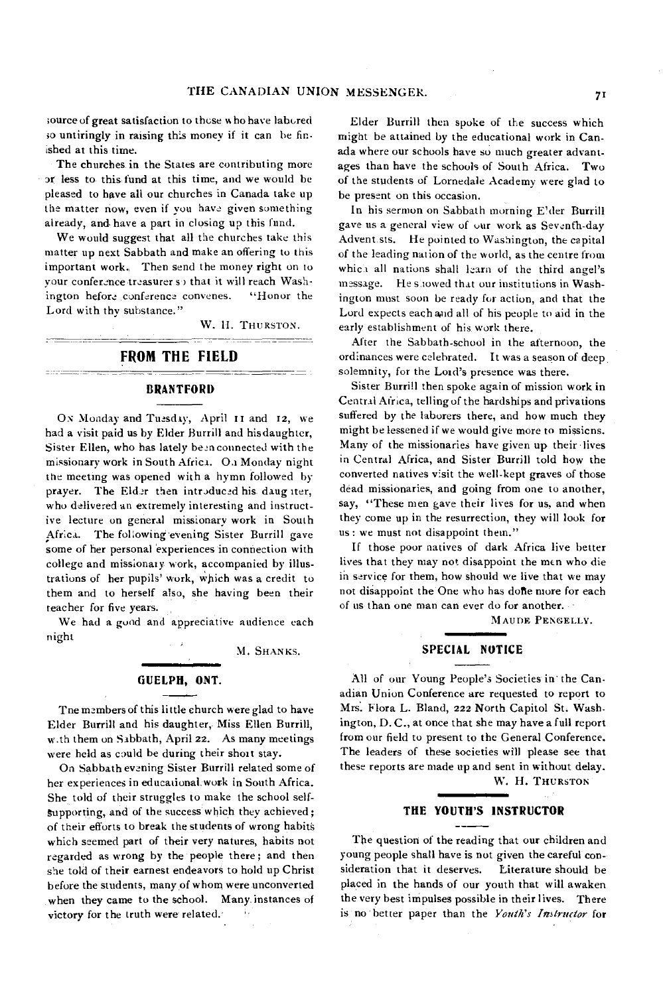;ource of great satisfaction to these who have labored so untiringly in raising this money if it can be finished at this time.

The churches in the States are contributing more or less to this: fund at this time, and we would he pleased to have all our churches in Canada take up the matter now, even if you have given something already, and have a part in closing up this fund.

We would suggest that all the churches take this matter up next Sabbath and make an offering to this important work, Then send the money right on to your conference treasurer so that it will reach Washington before conference convenes. "Honor the Lord with thy substance."

W. II. THURSTON.

# **FROM THE FIELD**

#### **BRANTFORD**

Os Monday and Tuesday, April **it** and 12, we had a visit paid us by Elder Burrill and his daughter, Sister Ellen, who has lately been connected with the missionary work in South Africa. Oa Monday night the meeting was opened with a hymn followed by prayer. The Elder then introduced his daug iter, who delivered an extremely interesting and instructive lecture on general missionary work in South Africa. The following evening Sister Burrill gave some of her personal 'experiences in connection with college and missionary work, accompanied by illustrations of her pupils' work, which was a credit to them and to herself also, she having been their teacher for five years.

We had a good and appreciative audience each night

M. SHANKS.

#### **GUELPH, ONT.**

Tne members of this little church were glad to have Elder Burrill and his daughter, Miss Ellen Burrill, w.th them on Sabbath, April 22. As many meetings were held as could be during their short stay.

On Sabbath evening Sister Burrill related some of her experiences in educational work in South Africa. She told of their struggles to make the school self-Supporting, and of the success which they achieved ; of their efforts to break the students of wrong habits which seemed part of their very natures, habits not regarded as wrong by the people there; and then she told of their earnest endeavors to hold up Christ before the students, many of whom were unconverted when they came to the school. Many. instances of victory for the truth were related.

Elder Burrill then spoke of the success which might be attained by the educational work in Canada where our schools have so much greater advantages than have the schools of South Africa. Two of the students of Lornedale Academy were glad to be present on this occasion.

In his sermon on Sabbath morning E'der Burrill gave us a general view of our work as Seventh-day Advent sts. He pointed to Washington, the capital of the leading nation of the world, as the centre from which all nations shall learn of the third angel's message. He showed that our institutions in Washington must soon be ready for action, and that the Lord expects each and all of his people to aid in the early establishment of his work there.

After the Sabbath-school in the afternoon, the ordinances were celebrated. It was a season of deep, solemnity, for the Lord's presence was there.

Sister Burrill then spoke again of mission work in Central Africa, telling of the hardships and privations suffered by the laborers there, and how much they might be lessened if we would give more to missicns. Many of the missionaries have given up their lives in Central Africa, and Sister Burrill told how the converted natives visit the well-kept graves of those dead missionaries, and going from one to another, say, "These men gave their lives for us, and when they come up in the resurrection, they will look for us: we must not disappoint them."

If those poor natives of dark Africa live better lives that they may not disappoint the men who die in service for them, how should we live that we may not disappoint the One who has done more for each of us than one man can ever do for another. -

MAUDE PENGELLY.

### **SPECIAL NOTICE**

All of our Young People's Societies in' the Canadian Union Conference are requested to report to Mrs. Flora L. Bland, 222 North Capitol St. Washington, D. C., at once that she may have a full report from our field to present to the General Conference. The leaders of these societies will please see that these reports are made up and sent in without delay. W. H. THURSTON

#### **THE YOUTH'S INSTRUCTOR**

The question of the reading that our children and young people shall have is not given the careful consideration that it deserves. Literature should be placed in the hands of our youth that will awaken the very best impulses possible in their lives. There is no better paper than the *Youth's Instructor for*